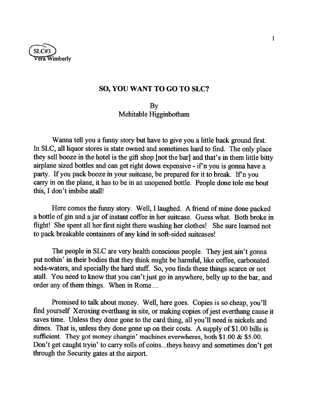

## **SO, YOU WANT TO GO TO SLC?**

1

## By

## Mehitable Higginbotham

Wanna tell you a funny story but have to give you a little back ground first. In SLC, all liquor stores is state owned and sometimes hard to find. The only place they sell booze in the hotel is the gift shop [not the bar] and that's in them little bitty airplane sized bottles and can get right down expensive - if n you is gonna have a party. If you pack booze in your suitcase, be prepared for it to break. If n you carry in on the plane, it has to be in an unopened bottle. People done tole me bout this, I don't imbibe atall!

Here comes the funny story. Well, I laughed. A friend of mine done packed a bottle of gin and ajar of instant coffee in her suitcase. Guess what. Both broke in flight! She spent all her first night there washing her clothes! She sure learned not to pack breakable containers of any kind in soft-sided suitcases!

The people in SLC are very health conscious people. They jest ain't gonna put nothin' in their bodies that they think might be harmful, like coffee, carbonated soda-waters, and specially the hard stuff. So, you finds these things scarce or not atall. You need to know that you can't just go in anywhere, belly up to the bar, and order any of them things. When in Rome....

Promised to talk about money. Well, here goes. Copies is so cheap, you'll find yourself Xeroxing everthang in site, or making copies of jest everthang cause it saves time. Unless they done gone to the card thing, all you'll need is nickels and dimes. That is, unless they done gone up on their costs. A supply of \$1.00 bills is sufficient. They got money changin' machines everwheres, both \$1.00 & \$5.00. Don't get caught tryin' to carry rolls of coins...theys heavy and sometimes don't get through the Security gates at the airport.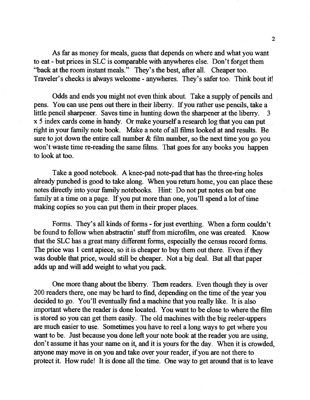As far as money for meals, guess that depends on where and what you want to eat - but prices in SLC is comparable with anywheres else. Don't forget them "back at the room instant meals." They's the best, after all. Cheaper too. Traveler's checks is always welcome - anywheres. They's safer too. Think bout it!

Odds and ends you might not even think about. Take a supply of pencils and pens. You can use pens out there in their liberry. If you rather use pencils, take a little pencil sharpener. Saves time in hunting down the sharpener at the liberry. 3 x 5 index cards come in handy. Or make yourself a research log that you can put right in your family note book. Make a note of all films looked at and results. Be sure to jot down the entire call number  $\&$  film number, so the next time you go you won't waste time re-reading the same films. That goes for any books you happen to look at too.

Take a good notebook. A knee-pad note-pad that has the three-ring holes already punched is good to take along. When you return home, you can place these notes directly into your family notebooks. Hint: Do not put notes on but one family at a time on a page. If you put more than one, you'll spend a lot of time making copies so you can put them in their proper places.

Forms. They's all kinds of forms - for just everthing. When a form couldn't be found to follow when abstractin' stuff from microfilm, one was created. Know that the SLC has a great many different forms, especially the census record forms. The price was 1 cent apiece, so it is cheaper to buy them out there. Even if they was double that price, would still be cheaper. Not a big deal. But all that paper adds up and will add weight to what you pack.

One more thang about the liberry. Them readers. Even though they is over 200 readers there, one may be hard to find, depending on the time of the year you decided to go. You'll eventually find a machine that you really like. It is also important where the reader is done located. You want to be close to where the film is stored so you can get them easily. The old machines with the big reeler-uppers are much easier to use. Sometimes you have to reel a long ways to get where you want to be. Just because you done left your note book at the reader you are using, don't assume it has your name on it, and it is yours for the day. When it is crowded, anyone may move in on you and take over your reader, if you are not there to protect it. How rude! It is done all the time. One way to get around that is to leave